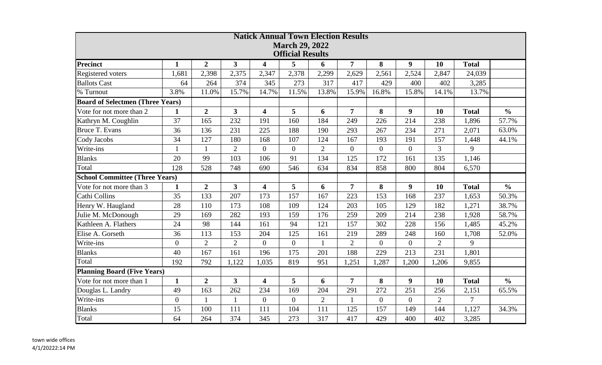| <b>Natick Annual Town Election Results</b> |                  |                |                         |                         |                         |                |                  |                |                  |                |                |               |
|--------------------------------------------|------------------|----------------|-------------------------|-------------------------|-------------------------|----------------|------------------|----------------|------------------|----------------|----------------|---------------|
| <b>March 29, 2022</b>                      |                  |                |                         |                         |                         |                |                  |                |                  |                |                |               |
|                                            |                  |                |                         |                         | <b>Official Results</b> |                |                  |                |                  |                |                |               |
| Precinct                                   | $\mathbf{1}$     | $\overline{2}$ | 3                       | 4                       | 5                       | 6              | 7                | 8              | 9                | 10             | <b>Total</b>   |               |
| Registered voters                          | 1,681            | 2,398          | 2,375                   | 2,347                   | 2,378                   | 2,299          | 2,629            | 2,561          | 2,524            | 2,847          | 24,039         |               |
| <b>Ballots Cast</b>                        | 64               | 264            | 374                     | 345                     | 273                     | 317            | 417              | 429            | 400              | 402            | 3,285          |               |
| % Turnout                                  | 3.8%             | 11.0%          | 15.7%                   | 14.7%                   | 11.5%                   | 13.8%          | 15.9%            | 16.8%          | 15.8%            | 14.1%          | 13.7%          |               |
| <b>Board of Selectmen (Three Years)</b>    |                  |                |                         |                         |                         |                |                  |                |                  |                |                |               |
| Vote for not more than 2                   | $\mathbf{1}$     | $\overline{2}$ | $\overline{\mathbf{3}}$ | $\overline{\mathbf{4}}$ | 5                       | 6              | $\overline{7}$   | 8              | $\boldsymbol{9}$ | 10             | <b>Total</b>   | $\frac{0}{0}$ |
| Kathryn M. Coughlin                        | 37               | 165            | 232                     | 191                     | 160                     | 184            | 249              | 226            | 214              | 238            | 1,896          | 57.7%         |
| <b>Bruce T. Evans</b>                      | 36               | 136            | 231                     | 225                     | 188                     | 190            | 293              | 267            | 234              | 271            | 2,071          | 63.0%         |
| Cody Jacobs                                | 34               | 127            | 180                     | 168                     | 107                     | 124            | 167              | 193            | 191              | 157            | 1,448          | 44.1%         |
| Write-ins                                  |                  | $\mathbf{1}$   | $\mathbf{2}$            | $\overline{0}$          | $\overline{0}$          | $\overline{2}$ | $\boldsymbol{0}$ | $\overline{0}$ | $\boldsymbol{0}$ | 3              | 9              |               |
| <b>Blanks</b>                              | 20               | 99             | 103                     | 106                     | 91                      | 134            | 125              | 172            | 161              | 135            | 1,146          |               |
| Total                                      | 128              | 528            | 748                     | 690                     | 546                     | 634            | 834              | 858            | 800              | 804            | 6,570          |               |
| <b>School Committee (Three Years)</b>      |                  |                |                         |                         |                         |                |                  |                |                  |                |                |               |
| Vote for not more than 3                   | $\mathbf{1}$     | $\overline{2}$ | $\overline{\mathbf{3}}$ | $\overline{\mathbf{4}}$ | 5                       | 6              | $\overline{7}$   | 8              | $\boldsymbol{9}$ | 10             | <b>Total</b>   | $\frac{0}{0}$ |
| Cathi Collins                              | 35               | 133            | 207                     | 173                     | 157                     | 167            | 223              | 153            | 168              | 237            | 1,653          | 50.3%         |
| Henry W. Haugland                          | 28               | 110            | 173                     | 108                     | 109                     | 124            | 203              | 105            | 129              | 182            | 1,271          | 38.7%         |
| Julie M. McDonough                         | 29               | 169            | 282                     | 193                     | 159                     | 176            | 259              | 209            | 214              | 238            | 1,928          | 58.7%         |
| Kathleen A. Flathers                       | 24               | 98             | 144                     | 161                     | 94                      | 121            | 157              | 302            | 228              | 156            | 1,485          | 45.2%         |
| Elise A. Gorseth                           | 36               | 113            | 153                     | 204                     | 125                     | 161            | 219              | 289            | 248              | 160            | 1,708          | 52.0%         |
| Write-ins                                  | $\boldsymbol{0}$ | $\overline{2}$ | $\overline{2}$          | $\overline{0}$          | $\boldsymbol{0}$        |                | $\overline{2}$   | $\overline{0}$ | $\overline{0}$   | $\overline{2}$ | 9              |               |
| <b>Blanks</b>                              | 40               | 167            | 161                     | 196                     | 175                     | 201            | 188              | 229            | 213              | 231            | 1,801          |               |
| Total                                      | 192              | 792            | 1,122                   | 1,035                   | 819                     | 951            | 1,251            | 1,287          | 1,200            | 1,206          | 9,855          |               |
| <b>Planning Board (Five Years)</b>         |                  |                |                         |                         |                         |                |                  |                |                  |                |                |               |
| Vote for not more than 1                   | $\mathbf{1}$     | $\overline{2}$ | $\overline{3}$          | $\overline{\mathbf{4}}$ | 5                       | 6              | $\overline{7}$   | 8              | 9                | 10             | <b>Total</b>   | $\frac{0}{0}$ |
| Douglas L. Landry                          | 49               | 163            | 262                     | 234                     | 169                     | 204            | 291              | 272            | 251              | 256            | 2,151          | 65.5%         |
| Write-ins                                  | $\boldsymbol{0}$ | $\mathbf{1}$   | $\mathbf{1}$            | $\boldsymbol{0}$        | $\overline{0}$          | $\overline{2}$ | $\mathbf{1}$     | $\overline{0}$ | $\overline{0}$   | $\overline{2}$ | $\overline{7}$ |               |
| <b>Blanks</b>                              | 15               | 100            | 111                     | 111                     | 104                     | 111            | 125              | 157            | 149              | 144            | 1,127          | 34.3%         |
| Total                                      | 64               | 264            | 374                     | 345                     | 273                     | 317            | 417              | 429            | 400              | 402            | 3,285          |               |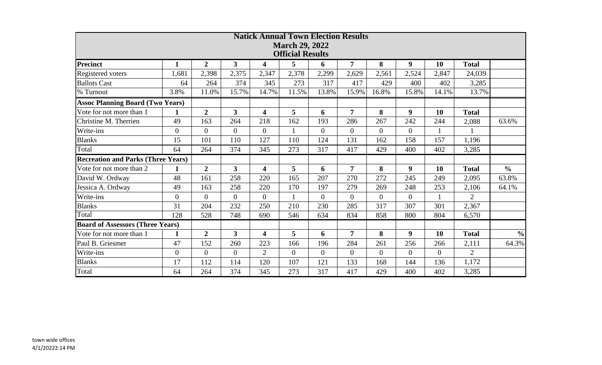| <b>Natick Annual Town Election Results</b><br><b>March 29, 2022</b> |                |                |                         |                         |                         |                |                |                |                  |                |                |               |
|---------------------------------------------------------------------|----------------|----------------|-------------------------|-------------------------|-------------------------|----------------|----------------|----------------|------------------|----------------|----------------|---------------|
|                                                                     |                |                |                         |                         | <b>Official Results</b> |                |                |                |                  |                |                |               |
| <b>Precinct</b>                                                     | $\mathbf{1}$   | $\overline{2}$ | $\mathbf{3}$            | $\overline{\mathbf{4}}$ | 5                       | 6              | $\overline{7}$ | 8              | 9                | 10             | <b>Total</b>   |               |
| Registered voters                                                   | 1,681          | 2,398          | 2,375                   | 2,347                   | 2,378                   | 2,299          | 2,629          | 2,561          | 2,524            | 2,847          | 24,039         |               |
| <b>Ballots Cast</b>                                                 | 64             | 264            | 374                     | 345                     | 273                     | 317            | 417            | 429            | 400              | 402            | 3,285          |               |
| % Turnout                                                           | 3.8%           | 11.0%          | 15.7%                   | 14.7%                   | 11.5%                   | 13.8%          | 15.9%          | 16.8%          | 15.8%            | 14.1%          | 13.7%          |               |
| <b>Assoc Planning Board (Two Years)</b>                             |                |                |                         |                         |                         |                |                |                |                  |                |                |               |
| Vote for not more than 1                                            | $\mathbf{1}$   | $\overline{2}$ | $\overline{\mathbf{3}}$ | $\overline{\mathbf{4}}$ | 5                       | 6              | $\overline{7}$ | 8              | $\boldsymbol{9}$ | 10             | <b>Total</b>   |               |
| Christine M. Therrien                                               | 49             | 163            | 264                     | 218                     | 162                     | 193            | 286            | 267            | 242              | 244            | 2,088          | 63.6%         |
| Write-ins                                                           | $\overline{0}$ | $\overline{0}$ | $\overline{0}$          | $\overline{0}$          | $\mathbf{1}$            | $\overline{0}$ | $\overline{0}$ | $\overline{0}$ | $\overline{0}$   | 1              | $\mathbf{1}$   |               |
| <b>Blanks</b>                                                       | 15             | 101            | 110                     | 127                     | 110                     | 124            | 131            | 162            | 158              | 157            | 1,196          |               |
| Total                                                               | 64             | 264            | 374                     | 345                     | 273                     | 317            | 417            | 429            | 400              | 402            | 3,285          |               |
| <b>Recreation and Parks (Three Years)</b>                           |                |                |                         |                         |                         |                |                |                |                  |                |                |               |
| Vote for not more than 2                                            | 1              | $\overline{2}$ | $\overline{3}$          | $\overline{\mathbf{4}}$ | 5                       | 6              | $\overline{7}$ | 8              | $\boldsymbol{9}$ | 10             | <b>Total</b>   | $\frac{0}{0}$ |
| David W. Ordway                                                     | 48             | 161            | 258                     | 220                     | 165                     | 207            | 270            | 272            | 245              | 249            | 2,095          | 63.8%         |
| Jessica A. Ordway                                                   | 49             | 163            | 258                     | 220                     | 170                     | 197            | 279            | 269            | 248              | 253            | 2,106          | 64.1%         |
| Write-ins                                                           | $\overline{0}$ | $\overline{0}$ | $\overline{0}$          | $\overline{0}$          | $\mathbf{1}$            | $\overline{0}$ | $\overline{0}$ | $\overline{0}$ | $\overline{0}$   | $\mathbf{1}$   | 2              |               |
| <b>Blanks</b>                                                       | 31             | 204            | 232                     | 250                     | 210                     | 230            | 285            | 317            | 307              | 301            | 2,367          |               |
| Total                                                               | 128            | 528            | 748                     | 690                     | 546                     | 634            | 834            | 858            | 800              | 804            | 6,570          |               |
| <b>Board of Assessors (Three Years)</b>                             |                |                |                         |                         |                         |                |                |                |                  |                |                |               |
| Vote for not more than 1                                            | $\mathbf{1}$   | $\overline{2}$ | $\overline{\mathbf{3}}$ | $\overline{\mathbf{4}}$ | 5                       | 6              | $\overline{7}$ | 8              | $\boldsymbol{9}$ | 10             | <b>Total</b>   | $\frac{0}{0}$ |
| Paul B. Griesmer                                                    | 47             | 152            | 260                     | 223                     | 166                     | 196            | 284            | 261            | 256              | 266            | 2,111          | 64.3%         |
| Write-ins                                                           | $\overline{0}$ | $\Omega$       | $\overline{0}$          | $\overline{2}$          | $\overline{0}$          | $\overline{0}$ | $\overline{0}$ | $\overline{0}$ | $\overline{0}$   | $\overline{0}$ | $\overline{2}$ |               |
| <b>Blanks</b>                                                       | 17             | 112            | 114                     | 120                     | 107                     | 121            | 133            | 168            | 144              | 136            | 1,172          |               |
| Total                                                               | 64             | 264            | 374                     | 345                     | 273                     | 317            | 417            | 429            | 400              | 402            | 3,285          |               |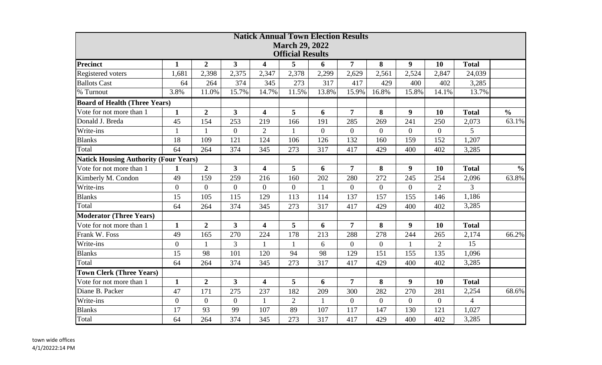|                                              |                |                |                         | <b>Natick Annual Town Election Results</b> |                         |                |                  |                |                  |                |                |               |
|----------------------------------------------|----------------|----------------|-------------------------|--------------------------------------------|-------------------------|----------------|------------------|----------------|------------------|----------------|----------------|---------------|
|                                              |                |                |                         |                                            | <b>March 29, 2022</b>   |                |                  |                |                  |                |                |               |
|                                              |                |                |                         |                                            | <b>Official Results</b> |                |                  |                |                  |                |                |               |
| <b>Precinct</b>                              | $\mathbf{1}$   | $\overline{2}$ | $\overline{3}$          | 4                                          | 5                       | 6              | $\overline{7}$   | 8              | 9                | 10             | <b>Total</b>   |               |
| Registered voters                            | 1,681          | 2,398          | 2,375                   | 2,347                                      | 2,378                   | 2,299          | 2,629            | 2,561          | 2,524            | 2,847          | 24,039         |               |
| <b>Ballots Cast</b>                          | 64             | 264            | 374                     | 345                                        | 273                     | 317            | 417              | 429            | 400              | 402            | 3,285          |               |
| % Turnout                                    | 3.8%           | 11.0%          | 15.7%                   | 14.7%                                      | 11.5%                   | 13.8%          | 15.9%            | 16.8%          | 15.8%            | 14.1%          | 13.7%          |               |
| <b>Board of Health (Three Years)</b>         |                |                |                         |                                            |                         |                |                  |                |                  |                |                |               |
| Vote for not more than 1                     | $\mathbf{1}$   | $\overline{2}$ | $\overline{\mathbf{3}}$ | $\overline{\mathbf{4}}$                    | 5                       | 6              | $\overline{7}$   | 8              | 9                | 10             | <b>Total</b>   | $\frac{0}{0}$ |
| Donald J. Breda                              | 45             | 154            | 253                     | 219                                        | 166                     | 191            | 285              | 269            | 241              | 250            | 2,073          | 63.1%         |
| Write-ins                                    | $\mathbf{1}$   | $\mathbf{1}$   | $\mathbf{0}$            | $\overline{2}$                             | 1                       | $\overline{0}$ | $\Omega$         | $\Omega$       | $\Omega$         | $\overline{0}$ | 5              |               |
| <b>Blanks</b>                                | 18             | 109            | 121                     | 124                                        | 106                     | 126            | 132              | 160            | 159              | 152            | 1,207          |               |
| Total                                        | 64             | 264            | 374                     | 345                                        | 273                     | 317            | 417              | 429            | 400              | 402            | 3,285          |               |
| <b>Natick Housing Authority (Four Years)</b> |                |                |                         |                                            |                         |                |                  |                |                  |                |                |               |
| Vote for not more than 1                     | $\mathbf{1}$   | $\overline{2}$ | $\overline{3}$          | $\overline{\mathbf{4}}$                    | 5                       | 6              | $\overline{7}$   | 8              | $\boldsymbol{9}$ | 10             | <b>Total</b>   | $\frac{0}{0}$ |
| Kimberly M. Condon                           | 49             | 159            | 259                     | 216                                        | 160                     | 202            | 280              | 272            | 245              | 254            | 2,096          | 63.8%         |
| Write-ins                                    | $\overline{0}$ | $\overline{0}$ | $\overline{0}$          | $\overline{0}$                             | $\overline{0}$          | $\mathbf{1}$   | $\overline{0}$   | $\overline{0}$ | $\overline{0}$   | $\overline{2}$ | $\overline{3}$ |               |
| <b>Blanks</b>                                | 15             | 105            | 115                     | 129                                        | 113                     | 114            | 137              | 157            | 155              | 146            | 1,186          |               |
| Total                                        | 64             | 264            | 374                     | 345                                        | 273                     | 317            | 417              | 429            | 400              | 402            | 3,285          |               |
| <b>Moderator (Three Years)</b>               |                |                |                         |                                            |                         |                |                  |                |                  |                |                |               |
| Vote for not more than 1                     | $\mathbf{1}$   | $\overline{2}$ | $\overline{\mathbf{3}}$ | $\overline{\mathbf{4}}$                    | 5                       | 6              | 7                | 8              | 9                | 10             | <b>Total</b>   |               |
| Frank W. Foss                                | 49             | 165            | 270                     | 224                                        | 178                     | 213            | 288              | 278            | 244              | 265            | 2,174          | 66.2%         |
| Write-ins                                    | $\overline{0}$ | $\mathbf{1}$   | 3                       | $\mathbf{1}$                               | $\mathbf{1}$            | 6              | $\boldsymbol{0}$ | $\overline{0}$ | $\mathbf{1}$     | $\overline{2}$ | 15             |               |
| <b>Blanks</b>                                | 15             | 98             | 101                     | 120                                        | 94                      | 98             | 129              | 151            | 155              | 135            | 1,096          |               |
| Total                                        | 64             | 264            | 374                     | 345                                        | 273                     | 317            | 417              | 429            | 400              | 402            | 3,285          |               |
| <b>Town Clerk (Three Years)</b>              |                |                |                         |                                            |                         |                |                  |                |                  |                |                |               |
| Vote for not more than 1                     | $\mathbf{1}$   | $\overline{2}$ | $\overline{3}$          | $\overline{\mathbf{4}}$                    | 5                       | 6              | $\overline{7}$   | 8              | 9                | 10             | <b>Total</b>   |               |
| Diane B. Packer                              | 47             | 171            | 275                     | 237                                        | 182                     | 209            | 300              | 282            | 270              | 281            | 2,254          | 68.6%         |
| Write-ins                                    | $\overline{0}$ | $\overline{0}$ | $\mathbf{0}$            | $\mathbf{1}$                               | $\overline{2}$          | $\mathbf{1}$   | $\overline{0}$   | $\overline{0}$ | $\overline{0}$   | $\overline{0}$ | $\overline{4}$ |               |
| <b>Blanks</b>                                | 17             | 93             | 99                      | 107                                        | 89                      | 107            | 117              | 147            | 130              | 121            | 1,027          |               |
| Total                                        | 64             | 264            | 374                     | 345                                        | 273                     | 317            | 417              | 429            | 400              | 402            | 3,285          |               |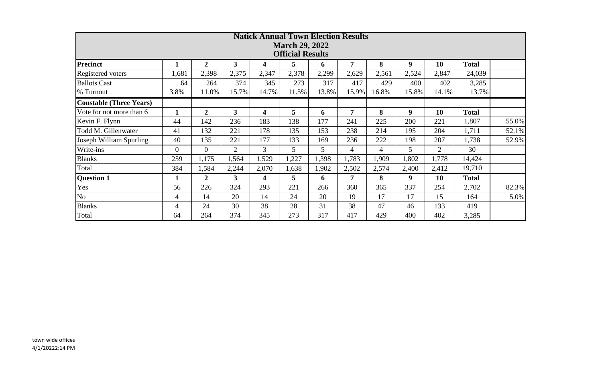| <b>Natick Annual Town Election Results</b>       |              |                |                |       |                |       |                |                |                  |                |              |       |  |
|--------------------------------------------------|--------------|----------------|----------------|-------|----------------|-------|----------------|----------------|------------------|----------------|--------------|-------|--|
| <b>March 29, 2022</b><br><b>Official Results</b> |              |                |                |       |                |       |                |                |                  |                |              |       |  |
| <b>Precinct</b>                                  |              | $\overline{2}$ | $3^{\circ}$    | 4     | 5              | 6     | 7              | 8              | $\boldsymbol{9}$ | 10             | <b>Total</b> |       |  |
| Registered voters                                | 1,681        | 2,398          | 2,375          | 2,347 | 2,378          | 2,299 | 2,629          | 2,561          | 2,524            | 2,847          | 24,039       |       |  |
| <b>Ballots Cast</b>                              | 64           | 264            | 374            | 345   | 273            | 317   | 417            | 429            | 400              | 402            | 3,285        |       |  |
| % Turnout                                        | 3.8%         | 11.0%          | 15.7%          | 14.7% | 11.5%          | 13.8% | 15.9%          | 16.8%          | 15.8%            | 14.1%          | 13.7%        |       |  |
| <b>Constable (Three Years)</b>                   |              |                |                |       |                |       |                |                |                  |                |              |       |  |
| Vote for not more than 6                         | $\mathbf{1}$ | $\overline{2}$ | 3 <sup>1</sup> | 4     | $\overline{5}$ | 6     | $\overline{7}$ | 8              | 9                | 10             | <b>Total</b> |       |  |
| Kevin F. Flynn                                   | 44           | 142            | 236            | 183   | 138            | 177   | 241            | 225            | 200              | 221            | 1,807        | 55.0% |  |
| Todd M. Gillenwater                              | 41           | 132            | 221            | 178   | 135            | 153   | 238            | 214            | 195              | 204            | 1,711        | 52.1% |  |
| Joseph William Spurling                          | 40           | 135            | 221            | 177   | 133            | 169   | 236            | 222            | 198              | 207            | 1,738        | 52.9% |  |
| Write-ins                                        | $\theta$     | $\overline{0}$ | $\overline{2}$ | 3     | 5              | 5     | 4              | $\overline{4}$ | 5                | $\overline{2}$ | 30           |       |  |
| <b>Blanks</b>                                    | 259          | 1,175          | 1,564          | 1,529 | 1,227          | 1,398 | 1,783          | 1,909          | 1,802            | 1,778          | 14,424       |       |  |
| Total                                            | 384          | 1,584          | 2,244          | 2,070 | 1,638          | 1,902 | 2,502          | 2,574          | 2,400            | 2,412          | 19,710       |       |  |
| <b>Question 1</b>                                | 1            | $\overline{2}$ | $\mathbf{3}$   | 4     | 5              | 6     | 7              | 8              | 9                | 10             | <b>Total</b> |       |  |
| Yes                                              | 56           | 226            | 324            | 293   | 221            | 266   | 360            | 365            | 337              | 254            | 2,702        | 82.3% |  |
| N <sub>o</sub>                                   | 4            | 14             | 20             | 14    | 24             | 20    | 19             | 17             | 17               | 15             | 164          | 5.0%  |  |
| <b>Blanks</b>                                    | 4            | 24             | 30             | 38    | 28             | 31    | 38             | 47             | 46               | 133            | 419          |       |  |
| Total                                            | 64           | 264            | 374            | 345   | 273            | 317   | 417            | 429            | 400              | 402            | 3,285        |       |  |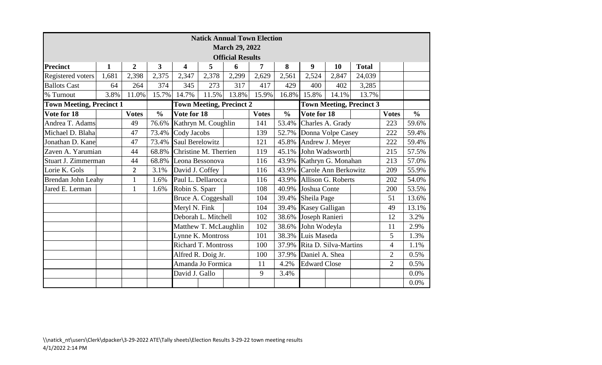|                                                                                                       | <b>Natick Annual Town Election</b><br><b>March 29, 2022</b> |                |               |                            |                        |                         |              |               |                       |                    |              |                |               |  |
|-------------------------------------------------------------------------------------------------------|-------------------------------------------------------------|----------------|---------------|----------------------------|------------------------|-------------------------|--------------|---------------|-----------------------|--------------------|--------------|----------------|---------------|--|
|                                                                                                       |                                                             |                |               |                            |                        | <b>Official Results</b> |              |               |                       |                    |              |                |               |  |
| <b>Precinct</b>                                                                                       | $\mathbf{1}$                                                | $\overline{2}$ | 3             | 4                          | 5                      | 6                       | 7            | 8             | 9                     | 10                 | <b>Total</b> |                |               |  |
| Registered voters                                                                                     | 1,681                                                       | 2,398          | 2,375         | 2,347                      | 2,378                  | 2,299                   | 2,629        | 2,561         | 2,524                 | 2,847              | 24,039       |                |               |  |
| <b>Ballots Cast</b>                                                                                   | 64                                                          | 264            | 374           | 345                        | 273                    | 317                     | 417          | 429           | 400                   | 402                | 3,285        |                |               |  |
| % Turnout                                                                                             | 3.8%                                                        | 11.0%          | 15.7%         | 14.7%                      | 11.5%                  | 13.8%                   | 15.9%        | 16.8%         | 15.8%                 | 14.1%              | 13.7%        |                |               |  |
| <b>Town Meeting, Precinct 2</b><br><b>Town Meeting, Precinct 3</b><br><b>Town Meeting, Precinct 1</b> |                                                             |                |               |                            |                        |                         |              |               |                       |                    |              |                |               |  |
| Vote for 18                                                                                           |                                                             | <b>Votes</b>   | $\frac{0}{0}$ | Vote for 18                |                        |                         | <b>Votes</b> | $\frac{0}{0}$ | Vote for 18           |                    |              | <b>Votes</b>   | $\frac{6}{6}$ |  |
| Andrea T. Adams                                                                                       |                                                             | 49             | 76.6%         | Kathryn M. Coughlin        |                        |                         | 141          | 53.4%         | Charles A. Grady      |                    |              | 223            | 59.6%         |  |
| Michael D. Blaha                                                                                      |                                                             | 47             | 73.4%         | Cody Jacobs                |                        |                         | 139          | 52.7%         | Donna Volpe Casey     |                    |              | 222            | 59.4%         |  |
| Jonathan D. Kane                                                                                      |                                                             | 47             | 73.4%         |                            | <b>Saul Berelowitz</b> |                         | 121          | 45.8%         | Andrew J. Meyer       |                    |              | 222            | 59.4%         |  |
| Zaven A. Yarumian                                                                                     |                                                             | 44             | 68.8%         | Christine M. Therrien      |                        |                         | 119          | 45.1%         | John Wadsworth        |                    |              | 215            |               |  |
| Stuart J. Zimmerman                                                                                   |                                                             | 44             |               | 68.8% Leona Bessonova      |                        |                         | 116          | 43.9%         | Kathryn G. Monahan    |                    |              | 213            | 57.0%         |  |
| Lorie K. Gols                                                                                         |                                                             | $\overline{2}$ | 3.1%          | David J. Coffey            |                        |                         | 116          | 43.9%         | Carole Ann Berkowitz  |                    |              | 209            | 55.9%         |  |
| Brendan John Leahy                                                                                    |                                                             | $\mathbf{1}$   | 1.6%          | Paul L. Dellarocca         |                        |                         | 116          | 43.9%         |                       | Allison G. Roberts |              | 202            | 54.0%         |  |
| Jared E. Lerman                                                                                       |                                                             | $\mathbf{1}$   | 1.6%          | Robin S. Sparr             |                        |                         | 108          | 40.9%         | Joshua Conte          |                    |              | 200            | 53.5%         |  |
|                                                                                                       |                                                             |                |               |                            | Bruce A. Coggeshall    |                         | 104          | 39.4%         | Sheila Page           |                    |              | 51             | 13.6%         |  |
|                                                                                                       |                                                             |                |               | Meryl N. Fink              |                        |                         | 104          | 39.4%         | <b>Kasey Galligan</b> |                    |              | 49             | 13.1%         |  |
|                                                                                                       |                                                             |                |               |                            | Deborah L. Mitchell    |                         | 102          | 38.6%         | Joseph Ranieri        |                    |              | 12             | 3.2%          |  |
|                                                                                                       |                                                             |                |               |                            | Matthew T. McLaughlin  |                         | 102          | 38.6%         | John Wodeyla          |                    |              | 11             | 2.9%          |  |
|                                                                                                       |                                                             |                |               |                            | Lynne K. Montross      |                         | 101          | 38.3%         | Luis Maseda           |                    |              | 5              | 1.3%          |  |
|                                                                                                       |                                                             |                |               | <b>Richard T. Montross</b> |                        |                         | 100          | 37.9%         | Rita D. Silva-Martins |                    |              | $\overline{4}$ | 1.1%          |  |
|                                                                                                       |                                                             |                |               | Alfred R. Doig Jr.         |                        |                         | 100          | 37.9%         | Daniel A. Shea        |                    |              | $\overline{2}$ | 0.5%          |  |
|                                                                                                       |                                                             |                |               |                            | Amanda Jo Formica      |                         | 11           | 4.2%          | <b>Edward Close</b>   |                    |              | $\overline{2}$ | 0.5%          |  |
|                                                                                                       |                                                             |                |               | David J. Gallo             |                        |                         | 9            | 3.4%          |                       |                    |              |                | 0.0%          |  |
|                                                                                                       |                                                             |                |               |                            |                        |                         |              |               |                       |                    |              |                | 0.0%          |  |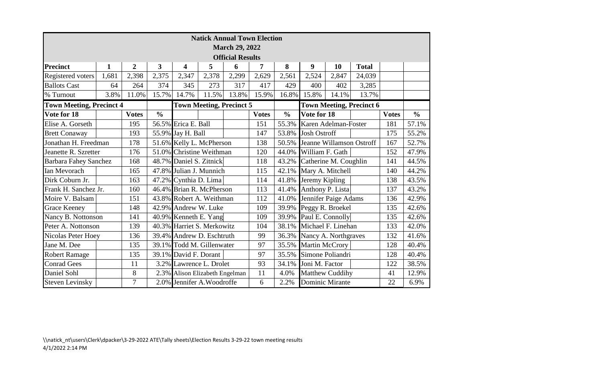|                                 | <b>Natick Annual Town Election</b><br><b>March 29, 2022</b>        |                |                                                                      |                                |       |                                 |              |               |                        |                        |                                 |              |               |
|---------------------------------|--------------------------------------------------------------------|----------------|----------------------------------------------------------------------|--------------------------------|-------|---------------------------------|--------------|---------------|------------------------|------------------------|---------------------------------|--------------|---------------|
|                                 |                                                                    |                |                                                                      |                                |       | <b>Official Results</b>         |              |               |                        |                        |                                 |              |               |
| <b>Precinct</b>                 | $\mathbf 1$                                                        | $\overline{2}$ | 3                                                                    | 4                              | 5     | 6                               | 7            | 8             | 9                      | 10                     | <b>Total</b>                    |              |               |
| Registered voters               | 1,681                                                              | 2,398          | 2,375                                                                | 2,347                          | 2,378 | 2,299                           | 2,629        | 2,561         | 2,524                  | 2,847                  | 24,039                          |              |               |
| <b>Ballots Cast</b>             | 64                                                                 | 264            | 374                                                                  | 345                            | 273   | 317                             | 417          | 429           | 400                    | 402                    | 3,285                           |              |               |
| % Turnout                       | 3.8%                                                               | 11.0%          | 15.7%                                                                | 14.7%                          | 11.5% | 13.8%                           | 15.9%        | 16.8%         | 15.8%                  | 14.1%                  | 13.7%                           |              |               |
| <b>Town Meeting, Precinct 4</b> |                                                                    |                |                                                                      |                                |       | <b>Town Meeting, Precinct 5</b> |              |               |                        |                        | <b>Town Meeting, Precinct 6</b> |              |               |
| Vote for 18                     |                                                                    | <b>Votes</b>   | $\frac{0}{0}$                                                        |                                |       |                                 | <b>Votes</b> | $\frac{0}{0}$ | Vote for 18            |                        |                                 | <b>Votes</b> | $\frac{0}{0}$ |
| Elise A. Gorseth                |                                                                    | 195            |                                                                      | 56.5% Erica E. Ball            |       |                                 | 151          | 55.3%         |                        | Karen Adelman-Foster   |                                 | 181          | 57.1%         |
| <b>Brett Conaway</b>            |                                                                    | 193            |                                                                      | 55.9% Jay H. Ball              |       |                                 | 147          | 53.8%         | <b>Josh Ostroff</b>    |                        |                                 | 175          | 55.2%         |
| Jonathan H. Freedman            |                                                                    | 178            | 51.6% Kelly L. McPherson<br>Jeanne Willamson Ostroff<br>138<br>50.5% |                                |       |                                 |              | 167           | 52.7%                  |                        |                                 |              |               |
| Jeanette R. Szretter            | 51.0% Christine Weithman<br>176<br>120<br>44.0%<br>William F. Gath |                |                                                                      |                                |       | 152                             | 47.9%        |               |                        |                        |                                 |              |               |
| <b>Barbara Fahey Sanchez</b>    |                                                                    | 168            |                                                                      | 48.7% Daniel S. Zitnick        |       |                                 | 118          | 43.2%         |                        | Catherine M. Coughlin  |                                 | 141          | 44.5%         |
| Ian Mevorach                    |                                                                    | 165            |                                                                      | 47.8% Julian J. Munnich        |       |                                 | 115          | 42.1%         | Mary A. Mitchell       |                        | 140                             | 44.2%        |               |
| Dirk Coburn Jr.                 |                                                                    | 163            |                                                                      | 47.2% Cynthia D. Lima          |       |                                 | 114          | 41.8%         | Jeremy Kipling         |                        |                                 | 138          | 43.5%         |
| Frank H. Sanchez Jr.            |                                                                    | 160            |                                                                      | 46.4% Brian R. McPherson       |       |                                 | 113          | 41.4%         |                        | Anthony P. Lista       |                                 | 137          | 43.2%         |
| Moire V. Balsam                 |                                                                    | 151            |                                                                      | 43.8% Robert A. Weithman       |       |                                 | 112          | 41.0%         |                        | Jennifer Paige Adams   |                                 | 136          | 42.9%         |
| <b>Grace Keeney</b>             |                                                                    | 148            |                                                                      | 42.9% Andrew W. Luke           |       |                                 | 109          |               |                        | 39.9% Peggy R. Broekel |                                 | 135          | 42.6%         |
| Nancy B. Nottonson              |                                                                    | 141            |                                                                      | 40.9% Kenneth E. Yang          |       |                                 | 109          | 39.9%         |                        | Paul E. Connolly       |                                 | 135          | 42.6%         |
| Peter A. Nottonson              |                                                                    | 139            |                                                                      | 40.3% Harriet S. Merkowitz     |       |                                 | 104          | 38.1%         |                        | Michael F. Linehan     |                                 | 133          | 42.0%         |
| Nicolas Peter Hoey              |                                                                    | 136            |                                                                      | 39.4% Andrew D. Eschtruth      |       |                                 | 99           | 36.3%         |                        | Nancy A. Northgraves   |                                 | 132          | 41.6%         |
| Jane M. Dee                     |                                                                    | 135            |                                                                      | 39.1% Todd M. Gillenwater      |       |                                 | 97           | 35.5%         | <b>Martin McCrory</b>  |                        |                                 | 128          | 40.4%         |
| <b>Robert Ramage</b>            |                                                                    | 135            |                                                                      | 39.1% David F. Dorant          |       |                                 | 97           | 35.5%         |                        | Simone Poliandri       |                                 | 128          | 40.4%         |
| <b>Conrad Gees</b>              |                                                                    | 11             |                                                                      | 3.2% Lawrence L. Drolet        |       |                                 | 93           | 34.1%         | Joni M. Factor         |                        |                                 | 122          | 38.5%         |
| Daniel Sohl                     |                                                                    | 8              |                                                                      | 2.3% Alison Elizabeth Engelman |       |                                 | 11           | 4.0%          | <b>Matthew Cuddihy</b> |                        |                                 | 41           | 12.9%         |
| <b>Steven Levinsky</b>          |                                                                    | 7              |                                                                      | 2.0% Jennifer A. Woodroffe     |       |                                 | 6            | 2.2%          |                        | <b>Dominic Mirante</b> |                                 |              | 6.9%          |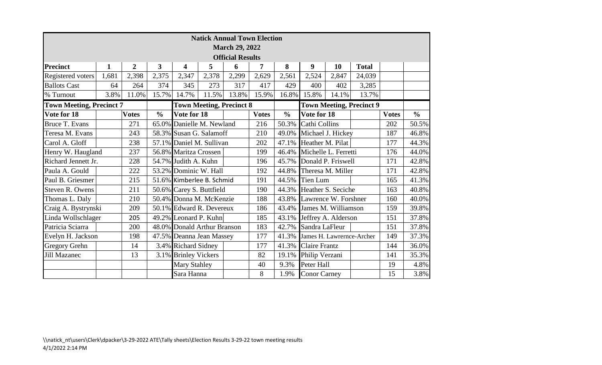| <b>Natick Annual Town Election</b><br><b>March 29, 2022</b> |              |                |                |                                                              |                     |                         |              |                      |                      |                           |                                 |              |               |
|-------------------------------------------------------------|--------------|----------------|----------------|--------------------------------------------------------------|---------------------|-------------------------|--------------|----------------------|----------------------|---------------------------|---------------------------------|--------------|---------------|
|                                                             |              |                |                |                                                              |                     | <b>Official Results</b> |              |                      |                      |                           |                                 |              |               |
| <b>Precinct</b>                                             | $\mathbf{1}$ | $\overline{2}$ | $\overline{3}$ | $\overline{\mathbf{4}}$                                      | 5                   | 6                       | 7            | 8                    | 9                    | 10                        | <b>Total</b>                    |              |               |
| Registered voters                                           | 1,681        | 2,398          | 2,375          | 2,347                                                        | 2,378               | 2,299                   | 2,629        | 2,561                | 2,524                | 2,847                     | 24,039                          |              |               |
| <b>Ballots Cast</b>                                         | 64           | 264            | 374            | 345                                                          | 273                 | 317                     | 417          | 429                  | 400                  | 402                       | 3,285                           |              |               |
| % Turnout                                                   | 3.8%         | 11.0%          | 15.7%          | 14.7%                                                        | 11.5%               | 13.8%                   | 15.9%        | 16.8%                | 15.8%                | 14.1%                     | 13.7%                           |              |               |
| <b>Town Meeting, Precinct 7</b>                             |              |                |                | <b>Town Meeting, Precinct 8</b>                              |                     |                         |              |                      |                      |                           | <b>Town Meeting, Precinct 9</b> |              |               |
| Vote for 18                                                 |              | <b>Votes</b>   | $\frac{0}{0}$  | Vote for 18                                                  |                     |                         | <b>Votes</b> | $\frac{0}{0}$        | Vote for 18          |                           |                                 | <b>Votes</b> | $\frac{0}{0}$ |
| Bruce T. Evans                                              |              | 271            |                | 65.0% Danielle M. Newland                                    |                     |                         | 216          | 50.3%                | Cathi Collins        |                           |                                 | 202          | 50.5%         |
| Teresa M. Evans                                             |              | 243            |                | 58.3% Susan G. Salamoff                                      |                     |                         | 210          | 49.0%                | Michael J. Hickey    |                           |                                 | 187          | 46.8%         |
| Carol A. Gloff                                              |              | 238            |                | 57.1% Daniel M. Sullivan<br>Heather M. Pilat<br>202<br>47.1% |                     |                         |              |                      |                      | 177                       | 44.3%                           |              |               |
| Henry W. Haugland                                           |              | 237            |                | 56.8% Maritza Crossen                                        |                     |                         | 199          | 46.4%                | Michelle L. Ferretti |                           |                                 | 176          | 44.0%         |
| Richard Jennett Jr.                                         |              | 228            |                | 54.7% Judith A. Kuhn                                         |                     |                         | 196          | 45.7%                | Donald P. Friswell   |                           | 171                             | 42.8%        |               |
| Paula A. Gould                                              |              | 222            |                | 53.2% Dominic W. Hall                                        |                     |                         | 192          | 44.8%                |                      | Theresa M. Miller         |                                 | 171          | 42.8%         |
| Paul B. Griesmer                                            |              | 215            |                | 51.6% Kimberlee B. Schmid                                    |                     |                         | 191          | 44.5%                | <b>Tien Lum</b>      |                           |                                 | 165          | 41.3%         |
| Steven R. Owens                                             |              | 211            |                | 50.6% Carey S. Buttfield                                     |                     |                         | 190          | 44.3%                |                      | Heather S. Seciche        |                                 | 163          | 40.8%         |
| Thomas L. Daly                                              |              | 210            |                | 50.4% Donna M. McKenzie                                      |                     |                         | 188          | 43.8%                |                      | Lawrence W. Forshner      |                                 | 160          | 40.0%         |
| Craig A. Bystrynski                                         |              | 209            |                | 50.1% Edward R. Devereux                                     |                     |                         | 186          | 43.4%                | James M. Williamson  |                           |                                 | 159          | 39.8%         |
| Linda Wollschlager                                          |              | 205            |                | 49.2% Leonard P. Kuhn                                        |                     |                         | 185          | 43.1%                |                      | Jeffrey A. Alderson       |                                 | 151          | 37.8%         |
| Patricia Sciarra                                            |              | 200            |                | 48.0% Donald Arthur Branson                                  |                     |                         | 183          | 42.7%                | Sandra LaFleur       |                           |                                 | 151          | 37.8%         |
| Evelyn H. Jackson                                           |              | 198            |                | 47.5% Deanna Jean Massey                                     |                     |                         | 177          | 41.3%                |                      | James H. Lawrernce-Archer |                                 | 149          | 37.3%         |
| <b>Gregory Grehn</b>                                        |              | 14             |                | 3.4% Richard Sidney                                          |                     | 177                     | 41.3%        | <b>Claire Frantz</b> |                      |                           | 144                             | 36.0%        |               |
| <b>Jill Mazanec</b>                                         |              | 13             |                | 3.1% Brinley Vickers                                         |                     |                         | 82           | 19.1%                | Philip Verzani       |                           | 141                             |              | 35.3%         |
|                                                             |              |                |                |                                                              | <b>Mary Stahley</b> |                         |              | 9.3%                 | Peter Hall           |                           |                                 | 19           | 4.8%          |
|                                                             |              |                |                | Sara Hanna                                                   |                     |                         | 8            | 1.9%                 | <b>Conor Carney</b>  |                           |                                 | 15           | 3.8%          |